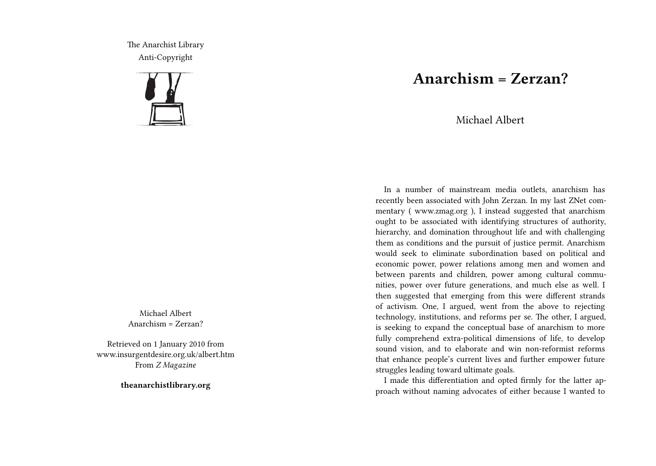The Anarchist Library Anti-Copyright



Michael Albert Anarchism = Zerzan?

Retrieved on 1 January 2010 from www.insurgentdesire.org.uk/albert.htm From *Z Magazine*

**theanarchistlibrary.org**

## **Anarchism = Zerzan?**

Michael Albert

In a number of mainstream media outlets, anarchism has recently been associated with John Zerzan. In my last ZNet commentary ( www.zmag.org ), I instead suggested that anarchism ought to be associated with identifying structures of authority, hierarchy, and domination throughout life and with challenging them as conditions and the pursuit of justice permit. Anarchism would seek to eliminate subordination based on political and economic power, power relations among men and women and between parents and children, power among cultural communities, power over future generations, and much else as well. I then suggested that emerging from this were different strands of activism. One, I argued, went from the above to rejecting technology, institutions, and reforms per se. The other, I argued, is seeking to expand the conceptual base of anarchism to more fully comprehend extra-political dimensions of life, to develop sound vision, and to elaborate and win non-reformist reforms that enhance people's current lives and further empower future struggles leading toward ultimate goals.

I made this differentiation and opted firmly for the latter approach without naming advocates of either because I wanted to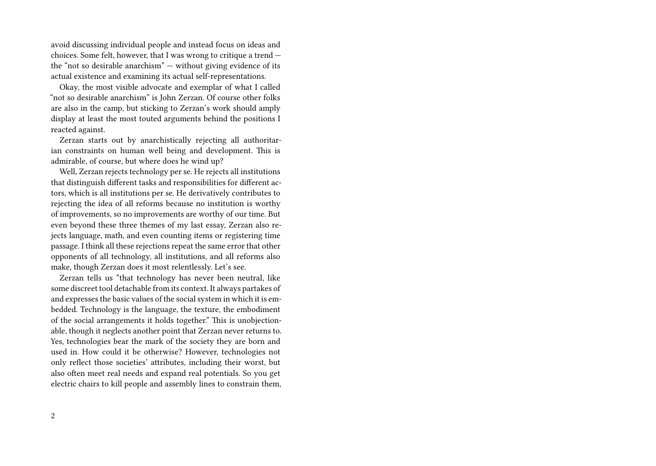avoid discussing individual people and instead focus on ideas and choices. Some felt, however, that I was wrong to critique a trend the "not so desirable anarchism" — without giving evidence of its actual existence and examining its actual self-representations.

Okay, the most visible advocate and exemplar of what I called "not so desirable anarchism" is John Zerzan. Of course other folks are also in the camp, but sticking to Zerzan's work should amply display at least the most touted arguments behind the positions I reacted against.

Zerzan starts out by anarchistically rejecting all authoritarian constraints on human well being and development. This is admirable, of course, but where does he wind up?

Well, Zerzan rejects technology per se. He rejects all institutions that distinguish different tasks and responsibilities for different actors, which is all institutions per se. He derivatively contributes to rejecting the idea of all reforms because no institution is worthy of improvements, so no improvements are worthy of our time. But even beyond these three themes of my last essay, Zerzan also rejects language, math, and even counting items or registering time passage. I think all these rejections repeat the same error that other opponents of all technology, all institutions, and all reforms also make, though Zerzan does it most relentlessly. Let's see.

Zerzan tells us "that technology has never been neutral, like some discreet tool detachable from its context. It always partakes of and expresses the basic values of the social system in which it is embedded. Technology is the language, the texture, the embodiment of the social arrangements it holds together." This is unobjectionable, though it neglects another point that Zerzan never returns to. Yes, technologies bear the mark of the society they are born and used in. How could it be otherwise? However, technologies not only reflect those societies' attributes, including their worst, but also often meet real needs and expand real potentials. So you get electric chairs to kill people and assembly lines to constrain them,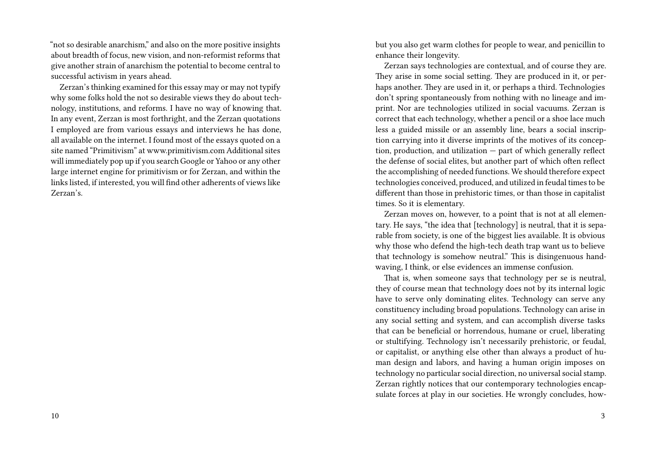"not so desirable anarchism," and also on the more positive insights about breadth of focus, new vision, and non-reformist reforms that give another strain of anarchism the potential to become central to successful activism in years ahead.

Zerzan's thinking examined for this essay may or may not typify why some folks hold the not so desirable views they do about technology, institutions, and reforms. I have no way of knowing that. In any event, Zerzan is most forthright, and the Zerzan quotations I employed are from various essays and interviews he has done, all available on the internet. I found most of the essays quoted on a site named "Primitivism" at www.primitivism.com Additional sites will immediately pop up if you search Google or Yahoo or any other large internet engine for primitivism or for Zerzan, and within the links listed, if interested, you will find other adherents of views like Zerzan's.

but you also get warm clothes for people to wear, and penicillin to enhance their longevity.

Zerzan says technologies are contextual, and of course they are. They arise in some social setting. They are produced in it, or perhaps another. They are used in it, or perhaps a third. Technologies don't spring spontaneously from nothing with no lineage and imprint. Nor are technologies utilized in social vacuums. Zerzan is correct that each technology, whether a pencil or a shoe lace much less a guided missile or an assembly line, bears a social inscription carrying into it diverse imprints of the motives of its conception, production, and utilization — part of which generally reflect the defense of social elites, but another part of which often reflect the accomplishing of needed functions. We should therefore expect technologies conceived, produced, and utilized in feudal times to be different than those in prehistoric times, or than those in capitalist times. So it is elementary.

Zerzan moves on, however, to a point that is not at all elementary. He says, "the idea that [technology] is neutral, that it is separable from society, is one of the biggest lies available. It is obvious why those who defend the high-tech death trap want us to believe that technology is somehow neutral." This is disingenuous handwaving, I think, or else evidences an immense confusion.

That is, when someone says that technology per se is neutral, they of course mean that technology does not by its internal logic have to serve only dominating elites. Technology can serve any constituency including broad populations. Technology can arise in any social setting and system, and can accomplish diverse tasks that can be beneficial or horrendous, humane or cruel, liberating or stultifying. Technology isn't necessarily prehistoric, or feudal, or capitalist, or anything else other than always a product of human design and labors, and having a human origin imposes on technology no particular social direction, no universal social stamp. Zerzan rightly notices that our contemporary technologies encapsulate forces at play in our societies. He wrongly concludes, how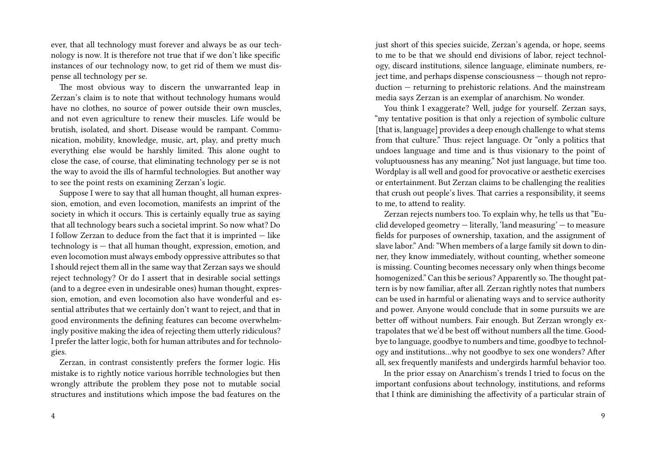ever, that all technology must forever and always be as our technology is now. It is therefore not true that if we don't like specific instances of our technology now, to get rid of them we must dispense all technology per se.

The most obvious way to discern the unwarranted leap in Zerzan's claim is to note that without technology humans would have no clothes, no source of power outside their own muscles, and not even agriculture to renew their muscles. Life would be brutish, isolated, and short. Disease would be rampant. Communication, mobility, knowledge, music, art, play, and pretty much everything else would be harshly limited. This alone ought to close the case, of course, that eliminating technology per se is not the way to avoid the ills of harmful technologies. But another way to see the point rests on examining Zerzan's logic.

Suppose I were to say that all human thought, all human expression, emotion, and even locomotion, manifests an imprint of the society in which it occurs. This is certainly equally true as saying that all technology bears such a societal imprint. So now what? Do I follow Zerzan to deduce from the fact that it is imprinted — like technology is — that all human thought, expression, emotion, and even locomotion must always embody oppressive attributes so that I should reject them all in the same way that Zerzan says we should reject technology? Or do I assert that in desirable social settings (and to a degree even in undesirable ones) human thought, expression, emotion, and even locomotion also have wonderful and essential attributes that we certainly don't want to reject, and that in good environments the defining features can become overwhelmingly positive making the idea of rejecting them utterly ridiculous? I prefer the latter logic, both for human attributes and for technologies.

Zerzan, in contrast consistently prefers the former logic. His mistake is to rightly notice various horrible technologies but then wrongly attribute the problem they pose not to mutable social structures and institutions which impose the bad features on the just short of this species suicide, Zerzan's agenda, or hope, seems to me to be that we should end divisions of labor, reject technology, discard institutions, silence language, eliminate numbers, reject time, and perhaps dispense consciousness — though not reproduction — returning to prehistoric relations. And the mainstream media says Zerzan is an exemplar of anarchism. No wonder.

You think I exaggerate? Well, judge for yourself. Zerzan says, "my tentative position is that only a rejection of symbolic culture [that is, language] provides a deep enough challenge to what stems from that culture." Thus: reject language. Or "only a politics that undoes language and time and is thus visionary to the point of voluptuousness has any meaning." Not just language, but time too. Wordplay is all well and good for provocative or aesthetic exercises or entertainment. But Zerzan claims to be challenging the realities that crush out people's lives. That carries a responsibility, it seems to me, to attend to reality.

Zerzan rejects numbers too. To explain why, he tells us that "Euclid developed geometry — literally, 'land measuring' — to measure fields for purposes of ownership, taxation, and the assignment of slave labor." And: "When members of a large family sit down to dinner, they know immediately, without counting, whether someone is missing. Counting becomes necessary only when things become homogenized." Can this be serious? Apparently so. The thought pattern is by now familiar, after all. Zerzan rightly notes that numbers can be used in harmful or alienating ways and to service authority and power. Anyone would conclude that in some pursuits we are better off without numbers. Fair enough. But Zerzan wrongly extrapolates that we'd be best off without numbers all the time. Goodbye to language, goodbye to numbers and time, goodbye to technology and institutions…why not goodbye to sex one wonders? After all, sex frequently manifests and undergirds harmful behavior too.

In the prior essay on Anarchism's trends I tried to focus on the important confusions about technology, institutions, and reforms that I think are diminishing the affectivity of a particular strain of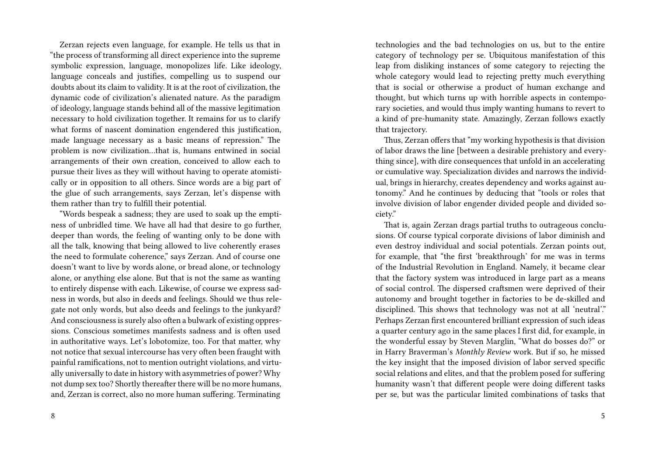Zerzan rejects even language, for example. He tells us that in "the process of transforming all direct experience into the supreme symbolic expression, language, monopolizes life. Like ideology, language conceals and justifies, compelling us to suspend our doubts about its claim to validity. It is at the root of civilization, the dynamic code of civilization's alienated nature. As the paradigm of ideology, language stands behind all of the massive legitimation necessary to hold civilization together. It remains for us to clarify what forms of nascent domination engendered this justification. made language necessary as a basic means of repression." The problem is now civilization…that is, humans entwined in social arrangements of their own creation, conceived to allow each to pursue their lives as they will without having to operate atomistically or in opposition to all others. Since words are a big part of the glue of such arrangements, says Zerzan, let's dispense with them rather than try to fulfill their potential.

"Words bespeak a sadness; they are used to soak up the emptiness of unbridled time. We have all had that desire to go further, deeper than words, the feeling of wanting only to be done with all the talk, knowing that being allowed to live coherently erases the need to formulate coherence," says Zerzan. And of course one doesn't want to live by words alone, or bread alone, or technology alone, or anything else alone. But that is not the same as wanting to entirely dispense with each. Likewise, of course we express sadness in words, but also in deeds and feelings. Should we thus relegate not only words, but also deeds and feelings to the junkyard? And consciousness is surely also often a bulwark of existing oppressions. Conscious sometimes manifests sadness and is often used in authoritative ways. Let's lobotomize, too. For that matter, why not notice that sexual intercourse has very often been fraught with painful ramifications, not to mention outright violations, and virtually universally to date in history with asymmetries of power? Why not dump sex too? Shortly thereafter there will be no more humans, and, Zerzan is correct, also no more human suffering. Terminating

technologies and the bad technologies on us, but to the entire category of technology per se. Ubiquitous manifestation of this leap from disliking instances of some category to rejecting the whole category would lead to rejecting pretty much everything that is social or otherwise a product of human exchange and thought, but which turns up with horrible aspects in contemporary societies, and would thus imply wanting humans to revert to a kind of pre-humanity state. Amazingly, Zerzan follows exactly that trajectory.

Thus, Zerzan offers that "my working hypothesis is that division of labor draws the line [between a desirable prehistory and everything since], with dire consequences that unfold in an accelerating or cumulative way. Specialization divides and narrows the individual, brings in hierarchy, creates dependency and works against autonomy." And he continues by deducing that "tools or roles that involve division of labor engender divided people and divided society."

That is, again Zerzan drags partial truths to outrageous conclusions. Of course typical corporate divisions of labor diminish and even destroy individual and social potentials. Zerzan points out, for example, that "the first 'breakthrough' for me was in terms of the Industrial Revolution in England. Namely, it became clear that the factory system was introduced in large part as a means of social control. The dispersed craftsmen were deprived of their autonomy and brought together in factories to be de-skilled and disciplined. This shows that technology was not at all 'neutral'." Perhaps Zerzan first encountered brilliant expression of such ideas a quarter century ago in the same places I first did, for example, in the wonderful essay by Steven Marglin, "What do bosses do?" or in Harry Braverman's *Monthly Review* work. But if so, he missed the key insight that the imposed division of labor served specific social relations and elites, and that the problem posed for suffering humanity wasn't that different people were doing different tasks per se, but was the particular limited combinations of tasks that